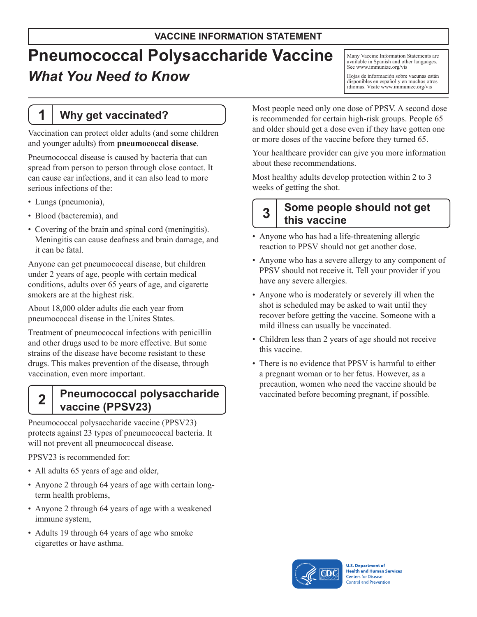# **Pneumococcal Polysaccharide Vaccine** *What You Need to Know*

## **1 Why get vaccinated?**

Vaccination can protect older adults (and some children and younger adults) from **pneumococcal disease**.

Pneumococcal disease is caused by bacteria that can spread from person to person through close contact. It can cause ear infections, and it can also lead to more serious infections of the:

- Lungs (pneumonia),
- Blood (bacteremia), and
- Covering of the brain and spinal cord (meningitis). Meningitis can cause deafness and brain damage, and it can be fatal.

Anyone can get pneumococcal disease, but children under 2 years of age, people with certain medical conditions, adults over 65 years of age, and cigarette smokers are at the highest risk.

About 18,000 older adults die each year from pneumococcal disease in the Unites States.

Treatment of pneumococcal infections with penicillin and other drugs used to be more effective. But some strains of the disease have become resistant to these drugs. This makes prevention of the disease, through vaccination, even more important.

## **2 Pneumococcal polysaccharide vaccine (PPSV23)**

Pneumococcal polysaccharide vaccine (PPSV23) protects against 23 types of pneumococcal bacteria. It will not prevent all pneumococcal disease.

PPSV23 is recommended for:

- All adults 65 years of age and older,
- Anyone 2 through 64 years of age with certain longterm health problems,
- Anyone 2 through 64 years of age with a weakened immune system,
- Adults 19 through 64 years of age who smoke cigarettes or have asthma.

Many Vaccine Information Statements are available in Spanish and other languages. See [www.immunize.org/vis](http://www.immunize.org/vis)

Hojas de información sobre vacunas están disponibles en español y en muchos otros idiomas. Visite [www.immunize.org/vis](http://www.immunize.org/vis)

Most people need only one dose of PPSV. A second dose is recommended for certain high-risk groups. People 65 and older should get a dose even if they have gotten one or more doses of the vaccine before they turned 65.

Your healthcare provider can give you more information about these recommendations.

Most healthy adults develop protection within 2 to 3 weeks of getting the shot.

## **3 Some people should not get this vaccine**

- Anyone who has had a life-threatening allergic reaction to PPSV should not get another dose.
- Anyone who has a severe allergy to any component of PPSV should not receive it. Tell your provider if you have any severe allergies.
- Anyone who is moderately or severely ill when the shot is scheduled may be asked to wait until they recover before getting the vaccine. Someone with a mild illness can usually be vaccinated.
- Children less than 2 years of age should not receive this vaccine.
- There is no evidence that PPSV is harmful to either a pregnant woman or to her fetus. However, as a precaution, women who need the vaccine should be vaccinated before becoming pregnant, if possible.